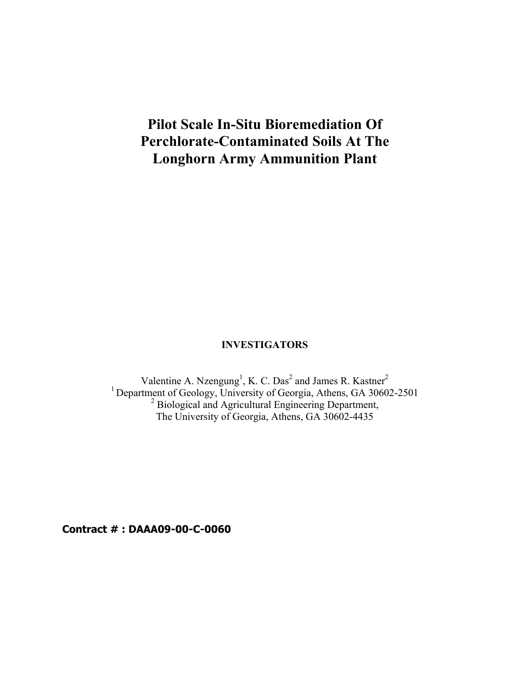# **Pilot Scale In-Situ Bioremediation Of Perchlorate-Contaminated Soils At The Longhorn Army Ammunition Plant**

# **INVESTIGATORS**

Valentine A. Nzengung<sup>1</sup>, K. C. Das<sup>2</sup> and James R. Kastner<sup>2</sup> <sup>1</sup> Department of Geology, University of Georgia, Athens, GA 30602-2501<br><sup>2</sup> Biological and Agricultural Engineering Department, The University of Georgia, Athens, GA 30602-4435

**Contract # : DAAA09-00-C-0060**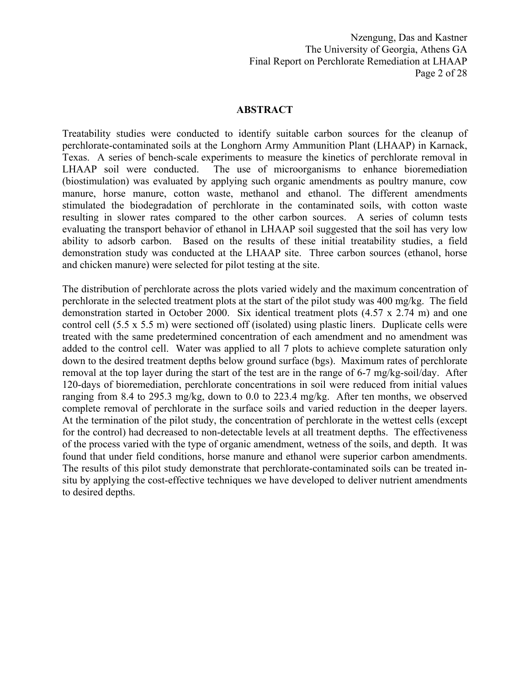Nzengung, Das and Kastner The University of Georgia, Athens GA Final Report on Perchlorate Remediation at LHAAP Page 2 of 28

#### **ABSTRACT**

Treatability studies were conducted to identify suitable carbon sources for the cleanup of perchlorate-contaminated soils at the Longhorn Army Ammunition Plant (LHAAP) in Karnack, Texas. A series of bench-scale experiments to measure the kinetics of perchlorate removal in LHAAP soil were conducted. The use of microorganisms to enhance bioremediation (biostimulation) was evaluated by applying such organic amendments as poultry manure, cow manure, horse manure, cotton waste, methanol and ethanol. The different amendments stimulated the biodegradation of perchlorate in the contaminated soils, with cotton waste resulting in slower rates compared to the other carbon sources. A series of column tests evaluating the transport behavior of ethanol in LHAAP soil suggested that the soil has very low ability to adsorb carbon. Based on the results of these initial treatability studies, a field demonstration study was conducted at the LHAAP site. Three carbon sources (ethanol, horse and chicken manure) were selected for pilot testing at the site.

The distribution of perchlorate across the plots varied widely and the maximum concentration of perchlorate in the selected treatment plots at the start of the pilot study was 400 mg/kg. The field demonstration started in October 2000. Six identical treatment plots (4.57 x 2.74 m) and one control cell (5.5 x 5.5 m) were sectioned off (isolated) using plastic liners. Duplicate cells were treated with the same predetermined concentration of each amendment and no amendment was added to the control cell. Water was applied to all 7 plots to achieve complete saturation only down to the desired treatment depths below ground surface (bgs). Maximum rates of perchlorate removal at the top layer during the start of the test are in the range of 6-7 mg/kg-soil/day. After 120-days of bioremediation, perchlorate concentrations in soil were reduced from initial values ranging from 8.4 to 295.3 mg/kg, down to 0.0 to 223.4 mg/kg. After ten months, we observed complete removal of perchlorate in the surface soils and varied reduction in the deeper layers. At the termination of the pilot study, the concentration of perchlorate in the wettest cells (except for the control) had decreased to non-detectable levels at all treatment depths. The effectiveness of the process varied with the type of organic amendment, wetness of the soils, and depth. It was found that under field conditions, horse manure and ethanol were superior carbon amendments. The results of this pilot study demonstrate that perchlorate-contaminated soils can be treated insitu by applying the cost-effective techniques we have developed to deliver nutrient amendments to desired depths.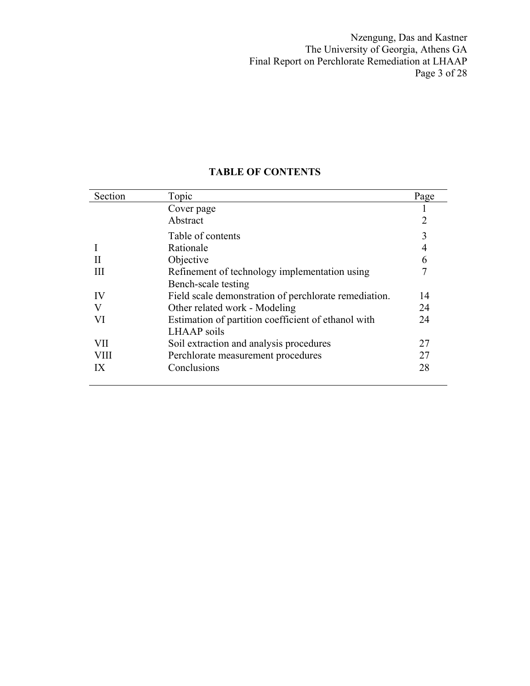Nzengung, Das and Kastner The University of Georgia, Athens GA Final Report on Perchlorate Remediation at LHAAP Page 3 of 28

### Section Topic Page Cover page 1 Abstract 2 Table of contents 3<br>Rationale 4 I Rationale<br>II Objective Objective 6 III Refinement of technology implementation using Bench-scale testing 7 IV Field scale demonstration of perchlorate remediation. 14 V Other related work - Modeling 24 VI Estimation of partition coefficient of ethanol with LHAAP soils 24 VII Soil extraction and analysis procedures 27 VIII Perchlorate measurement procedures 27 IX Conclusions 28

### **TABLE OF CONTENTS**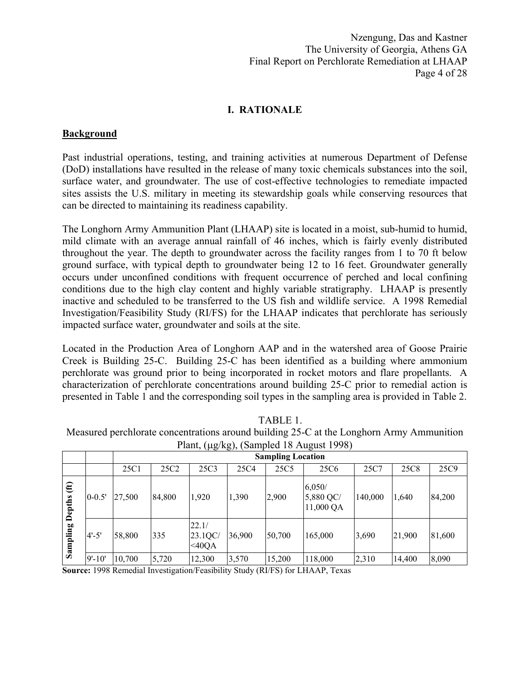Nzengung, Das and Kastner The University of Georgia, Athens GA Final Report on Perchlorate Remediation at LHAAP Page 4 of 28

# **I. RATIONALE**

### **Background**

Past industrial operations, testing, and training activities at numerous Department of Defense (DoD) installations have resulted in the release of many toxic chemicals substances into the soil, surface water, and groundwater. The use of cost-effective technologies to remediate impacted sites assists the U.S. military in meeting its stewardship goals while conserving resources that can be directed to maintaining its readiness capability.

The Longhorn Army Ammunition Plant (LHAAP) site is located in a moist, sub-humid to humid, mild climate with an average annual rainfall of 46 inches, which is fairly evenly distributed throughout the year. The depth to groundwater across the facility ranges from 1 to 70 ft below ground surface, with typical depth to groundwater being 12 to 16 feet. Groundwater generally occurs under unconfined conditions with frequent occurrence of perched and local confining conditions due to the high clay content and highly variable stratigraphy. LHAAP is presently inactive and scheduled to be transferred to the US fish and wildlife service. A 1998 Remedial Investigation/Feasibility Study (RI/FS) for the LHAAP indicates that perchlorate has seriously impacted surface water, groundwater and soils at the site.

Located in the Production Area of Longhorn AAP and in the watershed area of Goose Prairie Creek is Building 25-C. Building 25-C has been identified as a building where ammonium perchlorate was ground prior to being incorporated in rocket motors and flare propellants. A characterization of perchlorate concentrations around building 25-C prior to remedial action is presented in Table 1 and the corresponding soil types in the sampling area is provided in Table 2.

|                                        |            |        | $\frac{1}{2}$ rain, $(\mu g / \kappa g)$ , $\frac{1}{2}$ $\alpha$ in product to August 1990)<br><b>Sampling Location</b> |                              |        |        |                                  |         |        |        |
|----------------------------------------|------------|--------|--------------------------------------------------------------------------------------------------------------------------|------------------------------|--------|--------|----------------------------------|---------|--------|--------|
|                                        |            | 25C1   | 25C2                                                                                                                     | 25C3                         | 25C4   | 25C5   | 25C <sub>6</sub>                 | 25C7    | 25C8   | 25C9   |
| $\mathbf{f}$<br>epths<br>Á<br>Sampling | $0 - 0.5'$ | 27,500 | 84,800                                                                                                                   | 1,920                        | 1,390  | 2,900  | 6,050/<br>5,880 QC/<br>11,000 QA | 140,000 | 1,640  | 84,200 |
|                                        | $4' - 5'$  | 58,800 | 335                                                                                                                      | 22.1/<br>23.1QC/<br>$<$ 40QA | 36,900 | 50,700 | 165,000                          | 3,690   | 21,900 | 81,600 |
|                                        | $9' - 10'$ | 10,700 | 5,720                                                                                                                    | 12,300                       | 3,570  | 15,200 | 118,000                          | 2,310   | 14,400 | 8,090  |

TABLE 1.

Measured perchlorate concentrations around building 25-C at the Longhorn Army Ammunition Plant,  $(\mu\sigma/k\sigma)$ , (Sampled 18 August 1998).

**Source:** 1998 Remedial Investigation/Feasibility Study (RI/FS) for LHAAP, Texas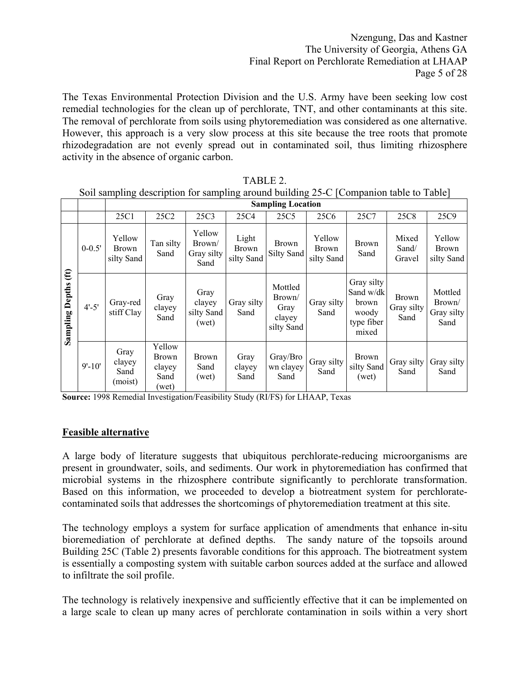The Texas Environmental Protection Division and the U.S. Army have been seeking low cost remedial technologies for the clean up of perchlorate, TNT, and other contaminants at this site. The removal of perchlorate from soils using phytoremediation was considered as one alternative. However, this approach is a very slow process at this site because the tree roots that promote rhizodegradation are not evenly spread out in contaminated soil, thus limiting rhizosphere activity in the absence of organic carbon.

|                                        |            |                                   | bon sumpling assemption for sumpling around outfung 25 $\circ$   companion more to Tuble<br><b>Sampling Location</b> |                                        |                                     |                                                   |                               |                                                                  |                                    |                                         |
|----------------------------------------|------------|-----------------------------------|----------------------------------------------------------------------------------------------------------------------|----------------------------------------|-------------------------------------|---------------------------------------------------|-------------------------------|------------------------------------------------------------------|------------------------------------|-----------------------------------------|
|                                        |            |                                   |                                                                                                                      |                                        |                                     |                                                   |                               |                                                                  |                                    |                                         |
|                                        |            | 25C1                              | 25C <sub>2</sub>                                                                                                     | 25C3                                   | 25C4                                | 25C5                                              | 25C <sub>6</sub>              | 25C7                                                             | 25C8                               | 25C9                                    |
| $\mathbf{f}$<br><b>Sampling Depths</b> | $0 - 0.5'$ | Yellow<br>Brown<br>silty Sand     | Tan silty<br>Sand                                                                                                    | Yellow<br>Brown/<br>Gray silty<br>Sand | Light<br><b>Brown</b><br>silty Sand | <b>Brown</b><br>Silty Sand                        | Yellow<br>Brown<br>silty Sand | <b>Brown</b><br>Sand                                             | Mixed<br>Sand/<br>Gravel           | Yellow<br><b>Brown</b><br>silty Sand    |
|                                        | $4' - 5'$  | Gray-red<br>stiff Clay            | Gray<br>clayey<br>Sand                                                                                               | Gray<br>clayey<br>silty Sand<br>(wet)  | Gray silty<br>Sand                  | Mottled<br>Brown/<br>Gray<br>clayey<br>silty Sand | Gray silty<br>Sand            | Gray silty<br>Sand w/dk<br>brown<br>woody<br>type fiber<br>mixed | <b>Brown</b><br>Gray silty<br>Sand | Mottled<br>Brown/<br>Gray silty<br>Sand |
|                                        | $9' - 10'$ | Gray<br>clayey<br>Sand<br>(moist) | Yellow<br><b>Brown</b><br>clayey<br>Sand<br>(wet)                                                                    | <b>Brown</b><br>Sand<br>(wet)          | Gray<br>clayey<br>Sand              | Gray/Bro<br>wn clayey<br>Sand                     | Gray silty<br>Sand            | Brown<br>silty Sand<br>(wet)                                     | Gray silty<br>Sand                 | Gray silty<br>Sand                      |

TABLE 2. Soil sampling description for sampling around building 25-C [Companion table to Table]

**Source:** 1998 Remedial Investigation/Feasibility Study (RI/FS) for LHAAP, Texas

### **Feasible alternative**

A large body of literature suggests that ubiquitous perchlorate-reducing microorganisms are present in groundwater, soils, and sediments. Our work in phytoremediation has confirmed that microbial systems in the rhizosphere contribute significantly to perchlorate transformation. Based on this information, we proceeded to develop a biotreatment system for perchloratecontaminated soils that addresses the shortcomings of phytoremediation treatment at this site.

The technology employs a system for surface application of amendments that enhance in-situ bioremediation of perchlorate at defined depths. The sandy nature of the topsoils around Building 25C (Table 2) presents favorable conditions for this approach. The biotreatment system is essentially a composting system with suitable carbon sources added at the surface and allowed to infiltrate the soil profile.

The technology is relatively inexpensive and sufficiently effective that it can be implemented on a large scale to clean up many acres of perchlorate contamination in soils within a very short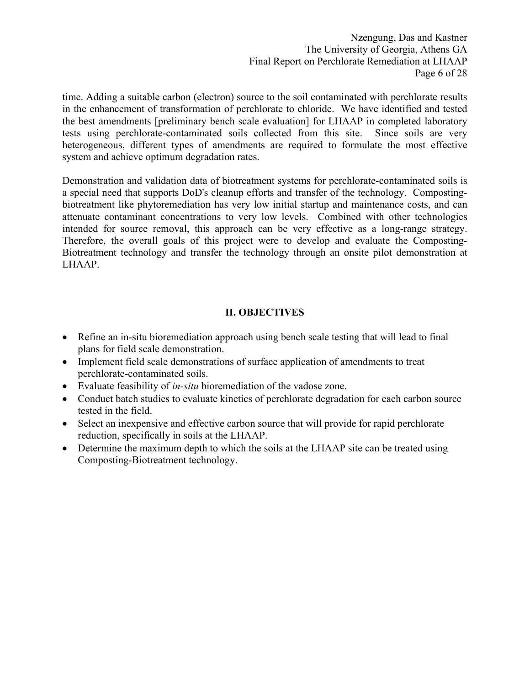Nzengung, Das and Kastner The University of Georgia, Athens GA Final Report on Perchlorate Remediation at LHAAP Page 6 of 28

time. Adding a suitable carbon (electron) source to the soil contaminated with perchlorate results in the enhancement of transformation of perchlorate to chloride. We have identified and tested the best amendments [preliminary bench scale evaluation] for LHAAP in completed laboratory tests using perchlorate-contaminated soils collected from this site. Since soils are very heterogeneous, different types of amendments are required to formulate the most effective system and achieve optimum degradation rates.

Demonstration and validation data of biotreatment systems for perchlorate-contaminated soils is a special need that supports DoD's cleanup efforts and transfer of the technology. Compostingbiotreatment like phytoremediation has very low initial startup and maintenance costs, and can attenuate contaminant concentrations to very low levels. Combined with other technologies intended for source removal, this approach can be very effective as a long-range strategy. Therefore, the overall goals of this project were to develop and evaluate the Composting-Biotreatment technology and transfer the technology through an onsite pilot demonstration at LHAAP.

# **II. OBJECTIVES**

- Refine an in-situ bioremediation approach using bench scale testing that will lead to final plans for field scale demonstration.
- Implement field scale demonstrations of surface application of amendments to treat perchlorate-contaminated soils.
- Evaluate feasibility of *in-situ* bioremediation of the vadose zone.
- Conduct batch studies to evaluate kinetics of perchlorate degradation for each carbon source tested in the field.
- Select an inexpensive and effective carbon source that will provide for rapid perchlorate reduction, specifically in soils at the LHAAP.
- Determine the maximum depth to which the soils at the LHAAP site can be treated using Composting-Biotreatment technology.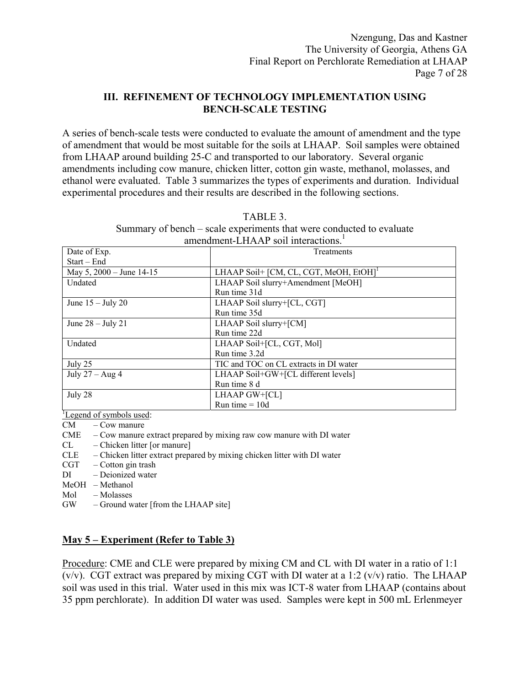# **III. REFINEMENT OF TECHNOLOGY IMPLEMENTATION USING BENCH-SCALE TESTING**

A series of bench-scale tests were conducted to evaluate the amount of amendment and the type of amendment that would be most suitable for the soils at LHAAP. Soil samples were obtained from LHAAP around building 25-C and transported to our laboratory. Several organic amendments including cow manure, chicken litter, cotton gin waste, methanol, molasses, and ethanol were evaluated. Table 3 summarizes the types of experiments and duration. Individual experimental procedures and their results are described in the following sections.

| amendment-LHAAP soil interactions. |                                                    |  |  |  |  |
|------------------------------------|----------------------------------------------------|--|--|--|--|
| Date of Exp.                       | Treatments                                         |  |  |  |  |
| $Start - End$                      |                                                    |  |  |  |  |
| May $5, 2000 -$ June 14-15         | LHAAP Soil+ [CM, CL, CGT, MeOH, EtOH] <sup>1</sup> |  |  |  |  |
| Undated                            | LHAAP Soil slurry+Amendment [MeOH]                 |  |  |  |  |
|                                    | Run time 31d                                       |  |  |  |  |
| June $15 -$ July 20                | LHAAP Soil slurry+[CL, CGT]                        |  |  |  |  |
|                                    | Run time 35d                                       |  |  |  |  |
| June $28 -$ July 21                | LHAAP Soil slurry+[CM]                             |  |  |  |  |
|                                    | Run time 22d                                       |  |  |  |  |
| Undated                            | LHAAP Soil+[CL, CGT, Mol]                          |  |  |  |  |
|                                    | Run time 3.2d                                      |  |  |  |  |
| July 25                            | TIC and TOC on CL extracts in DI water             |  |  |  |  |
| July $27 - Aug 4$                  | LHAAP Soil+GW+[CL different levels]                |  |  |  |  |
|                                    | Run time 8 d                                       |  |  |  |  |
| July 28                            | $LHAAP GW+[CL]$                                    |  |  |  |  |
|                                    | Run time = $10d$                                   |  |  |  |  |
| Legend of symbols used:            |                                                    |  |  |  |  |

|--|

Summary of bench – scale experiments that were conducted to evaluate

CM – Cow manure

- $CME Cow$  manure extract prepared by mixing raw cow manure with DI water
- CL Chicken litter [or manure]
- CLE Chicken litter extract prepared by mixing chicken litter with DI water
- CGT Cotton gin trash
- DI Deionized water
- MeOH Methanol
- Mol Molasses
- GW Ground water [from the LHAAP site]

# **May 5 – Experiment (Refer to Table 3)**

Procedure: CME and CLE were prepared by mixing CM and CL with DI water in a ratio of 1:1 ( $v/v$ ). CGT extract was prepared by mixing CGT with DI water at a 1:2 ( $v/v$ ) ratio. The LHAAP soil was used in this trial. Water used in this mix was ICT-8 water from LHAAP (contains about 35 ppm perchlorate). In addition DI water was used. Samples were kept in 500 mL Erlenmeyer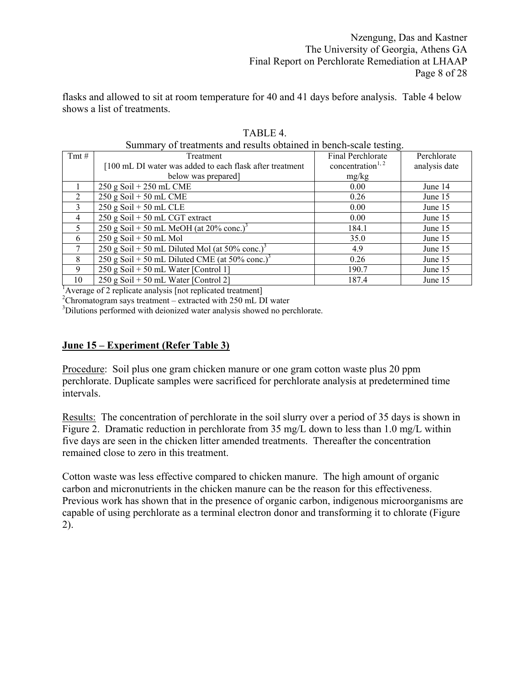flasks and allowed to sit at room temperature for 40 and 41 days before analysis. Table 4 below shows a list of treatments.

|                | Summary of treatments and results obtained in bench-scale testing. |                               |               |  |  |  |  |
|----------------|--------------------------------------------------------------------|-------------------------------|---------------|--|--|--|--|
| $Tmt \#$       | Treatment                                                          | Final Perchlorate             | Perchlorate   |  |  |  |  |
|                | [100 mL DI water was added to each flask after treatment           | concentration <sup>1, 2</sup> | analysis date |  |  |  |  |
|                | below was prepared]                                                | mg/kg                         |               |  |  |  |  |
|                | $250$ g Soil + $250$ mL CME                                        | 0.00                          | June 14       |  |  |  |  |
| $\overline{2}$ | $250$ g Soil + 50 mL CME                                           | 0.26                          | June 15       |  |  |  |  |
| $\mathcal{E}$  | $250$ g Soil + 50 mL CLE                                           | 0.00                          | June 15       |  |  |  |  |
| $\overline{4}$ | $\overline{250 \text{ g Soil}} + 50 \text{ mL CGT extract}$        | 0.00                          | June 15       |  |  |  |  |
| 5              | 250 g Soil + 50 mL MeOH (at $20\%$ conc.) <sup>3</sup>             | 184.1                         | June 15       |  |  |  |  |
| 6              | $250$ g Soil + 50 mL Mol                                           | 35.0                          | June 15       |  |  |  |  |
| 7              | 250 g Soil + 50 mL Diluted Mol (at 50% conc.) <sup>3</sup>         | 4.9                           | June 15       |  |  |  |  |
| 8              | 250 g Soil + 50 mL Diluted CME (at 50% conc.) <sup>3</sup>         | 0.26                          | June 15       |  |  |  |  |
| 9              | $250$ g Soil + 50 mL Water [Control 1]                             | 190.7                         | June 15       |  |  |  |  |
| 10             | $250$ g Soil + 50 mL Water [Control 2]                             | 187.4                         | June 15       |  |  |  |  |

TABLE 4. Summary of treatments and results obtained in bench-scale testing.

 $\frac{1}{2}$  Average of 2 replicate analysis [not replicated treatment] <sup>1</sup>Average of 2 replicate analysis [not replicated treatment]<br><sup>2</sup>Chromatogram save treatment saytracted with 250 mL D

 $^{2}$ Chromatogram says treatment – extracted with 250 mL DI water  $^{3}$ Dilutions performed with dejonized water analysis showed no new

<sup>3</sup>Dilutions performed with deionized water analysis showed no perchlorate.

# **June 15 – Experiment (Refer Table 3)**

Procedure: Soil plus one gram chicken manure or one gram cotton waste plus 20 ppm perchlorate. Duplicate samples were sacrificed for perchlorate analysis at predetermined time intervals.

Results: The concentration of perchlorate in the soil slurry over a period of 35 days is shown in Figure 2. Dramatic reduction in perchlorate from 35 mg/L down to less than 1.0 mg/L within five days are seen in the chicken litter amended treatments. Thereafter the concentration remained close to zero in this treatment.

Cotton waste was less effective compared to chicken manure. The high amount of organic carbon and micronutrients in the chicken manure can be the reason for this effectiveness. Previous work has shown that in the presence of organic carbon, indigenous microorganisms are capable of using perchlorate as a terminal electron donor and transforming it to chlorate (Figure 2).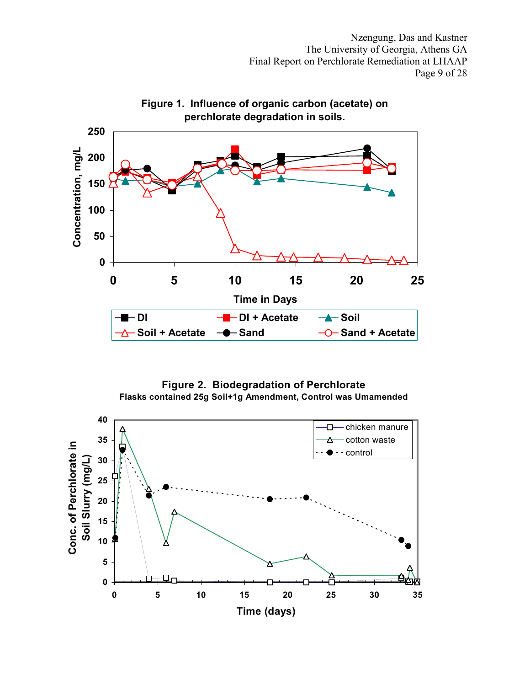Nzengung, Das and Kastner The University of Georgia, Athens GA Final Report on Perchlorate Remediation at LHAAP Page 9 of 28



**Figure 2. Biodegradation of Perchlorate Flasks contained 25g Soil+1g Amendment, Control was Umamended**

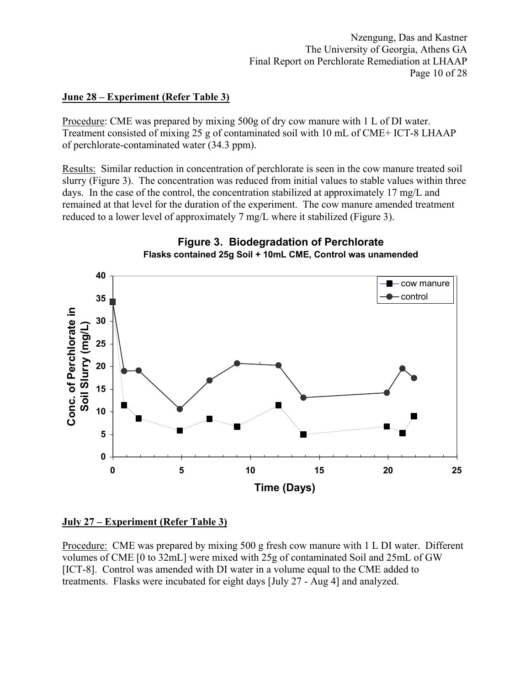# **June 28 – Experiment (Refer Table 3)**

Procedure: CME was prepared by mixing 500g of dry cow manure with 1 L of DI water. Treatment consisted of mixing 25 g of contaminated soil with 10 mL of CME+ ICT-8 LHAAP of perchlorate-contaminated water (34.3 ppm).

Results: Similar reduction in concentration of perchlorate is seen in the cow manure treated soil slurry (Figure 3). The concentration was reduced from initial values to stable values within three days. In the case of the control, the concentration stabilized at approximately 17 mg/L and remained at that level for the duration of the experiment. The cow manure amended treatment reduced to a lower level of approximately 7 mg/L where it stabilized (Figure 3).



# **July 27 – Experiment (Refer Table 3)**

Procedure: CME was prepared by mixing 500 g fresh cow manure with 1 L DI water. Different volumes of CME [0 to 32mL] were mixed with 25g of contaminated Soil and 25mL of GW [ICT-8]. Control was amended with DI water in a volume equal to the CME added to treatments. Flasks were incubated for eight days [July 27 - Aug 4] and analyzed.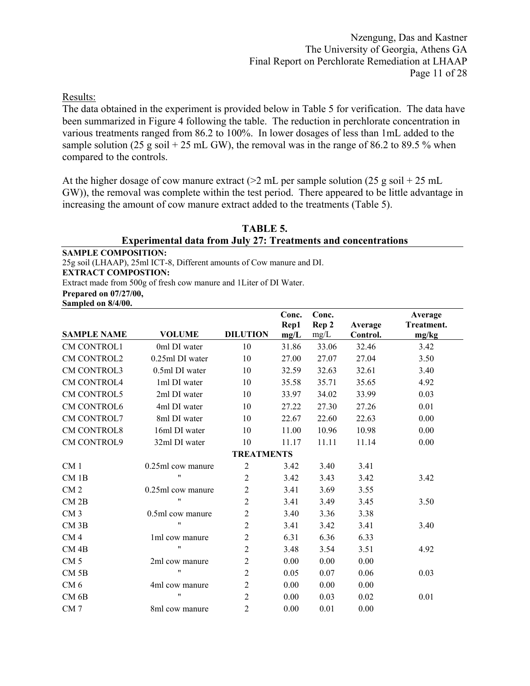Results:

The data obtained in the experiment is provided below in Table 5 for verification. The data have been summarized in Figure 4 following the table. The reduction in perchlorate concentration in various treatments ranged from 86.2 to 100%. In lower dosages of less than 1mL added to the sample solution (25 g soil + 25 mL GW), the removal was in the range of 86.2 to 89.5 % when compared to the controls.

At the higher dosage of cow manure extract ( $>2$  mL per sample solution (25 g soil + 25 mL GW)), the removal was complete within the test period. There appeared to be little advantage in increasing the amount of cow manure extract added to the treatments (Table 5).

**TABLE 5. Experimental data from July 27: Treatments and concentrations** 

**SAMPLE COMPOSITION:**  25g soil (LHAAP), 25ml ICT-8, Different amounts of Cow manure and DI.

**EXTRACT COMPOSTION:** 

Extract made from 500g of fresh cow manure and 1Liter of DI Water.

**Prepared on 07/27/00,** 

**Sampled on 8/4/00.**

|                    |                    |                   | Conc.<br>Rep1 | Conc.<br>Rep 2 | Average  | Average<br>Treatment. |
|--------------------|--------------------|-------------------|---------------|----------------|----------|-----------------------|
| <b>SAMPLE NAME</b> | <b>VOLUME</b>      | <b>DILUTION</b>   | mg/L          | mg/L           | Control. | mg/kg                 |
| CM CONTROL1        | 0ml DI water       | 10                | 31.86         | 33.06          | 32.46    | 3.42                  |
| <b>CM CONTROL2</b> | 0.25ml DI water    | 10                | 27.00         | 27.07          | 27.04    | 3.50                  |
| <b>CM CONTROL3</b> | 0.5ml DI water     | 10                | 32.59         | 32.63          | 32.61    | 3.40                  |
| <b>CM CONTROL4</b> | 1ml DI water       | 10                | 35.58         | 35.71          | 35.65    | 4.92                  |
| CM CONTROL5        | 2ml DI water       | 10                | 33.97         | 34.02          | 33.99    | 0.03                  |
| <b>CM CONTROL6</b> | 4ml DI water       | 10                | 27.22         | 27.30          | 27.26    | 0.01                  |
| CM CONTROL7        | 8ml DI water       | 10                | 22.67         | 22.60          | 22.63    | 0.00                  |
| <b>CM CONTROL8</b> | 16ml DI water      | 10                | 11.00         | 10.96          | 10.98    | 0.00                  |
| CM CONTROL9        | 32ml DI water      | 10                | 11.17         | 11.11          | 11.14    | 0.00                  |
|                    |                    | <b>TREATMENTS</b> |               |                |          |                       |
| CM <sub>1</sub>    | 0.25ml cow manure  | $\overline{2}$    | 3.42          | 3.40           | 3.41     |                       |
| $CM$ 1B            | $^{\prime\prime}$  | 2                 | 3.42          | 3.43           | 3.42     | 3.42                  |
| CM <sub>2</sub>    | 0.25ml cow manure  | $\overline{2}$    | 3.41          | 3.69           | 3.55     |                       |
| CM2B               | $^{\prime\prime}$  | 2                 | 3.41          | 3.49           | 3.45     | 3.50                  |
| CM <sub>3</sub>    | 0.5ml cow manure   | $\overline{c}$    | 3.40          | 3.36           | 3.38     |                       |
| CM <sub>3B</sub>   | "                  | 2                 | 3.41          | 3.42           | 3.41     | 3.40                  |
| CM <sub>4</sub>    | 1ml cow manure     | $\overline{2}$    | 6.31          | 6.36           | 6.33     |                       |
| $CM$ 4B            | $\pmb{\mathsf{H}}$ | 2                 | 3.48          | 3.54           | 3.51     | 4.92                  |
| CM <sub>5</sub>    | 2ml cow manure     | $\overline{c}$    | 0.00          | 0.00           | 0.00     |                       |
| $CM$ 5 $B$         | $\pmb{\mathsf{H}}$ | 2                 | 0.05          | 0.07           | 0.06     | 0.03                  |
| CM <sub>6</sub>    | 4ml cow manure     | 2                 | 0.00          | 0.00           | 0.00     |                       |
| CM6B               | $\pmb{\mathsf{H}}$ | 2                 | 0.00          | 0.03           | 0.02     | 0.01                  |
| CM <sub>7</sub>    | 8ml cow manure     | 2                 | 0.00          | 0.01           | 0.00     |                       |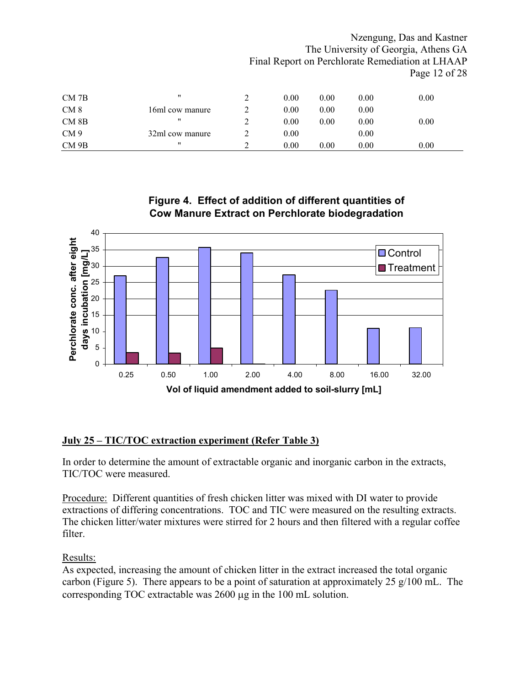|                  |                   |   |      |      |      | Nzengung, Das and Kastner                        |
|------------------|-------------------|---|------|------|------|--------------------------------------------------|
|                  |                   |   |      |      |      | The University of Georgia, Athens GA             |
|                  |                   |   |      |      |      | Final Report on Perchlorate Remediation at LHAAP |
|                  |                   |   |      |      |      | Page 12 of 28                                    |
|                  | 11                |   |      |      |      |                                                  |
| $CM$ 7B          |                   | 2 | 0.00 | 0.00 | 0.00 | 0.00                                             |
| CM <sub>8</sub>  | 16ml cow manure   | 2 | 0.00 | 0.00 | 0.00 |                                                  |
| CM <sub>8B</sub> | $^{\prime\prime}$ | 2 | 0.00 | 0.00 | 0.00 | 0.00                                             |
| CM <sub>9</sub>  | 32ml cow manure   | 2 | 0.00 |      | 0.00 |                                                  |
| CM 9B            | $^{\prime\prime}$ | 2 | 0.00 | 0.00 | 0.00 | 0.00                                             |

# **Figure 4. Effect of addition of different quantities of Cow Manure Extract on Perchlorate biodegradation**



# **July 25 – TIC/TOC extraction experiment (Refer Table 3)**

In order to determine the amount of extractable organic and inorganic carbon in the extracts, TIC/TOC were measured.

Procedure: Different quantities of fresh chicken litter was mixed with DI water to provide extractions of differing concentrations. TOC and TIC were measured on the resulting extracts. The chicken litter/water mixtures were stirred for 2 hours and then filtered with a regular coffee filter.

# Results:

As expected, increasing the amount of chicken litter in the extract increased the total organic carbon (Figure 5). There appears to be a point of saturation at approximately 25 g/100 mL. The corresponding TOC extractable was 2600 µg in the 100 mL solution.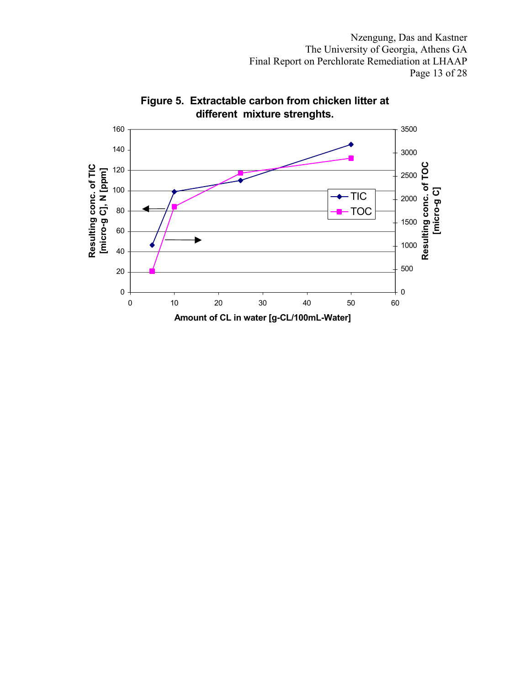Nzengung, Das and Kastner The University of Georgia, Athens GA Final Report on Perchlorate Remediation at LHAAP Page 13 of 28



**Figure 5. Extractable carbon from chicken litter at different mixture strenghts.**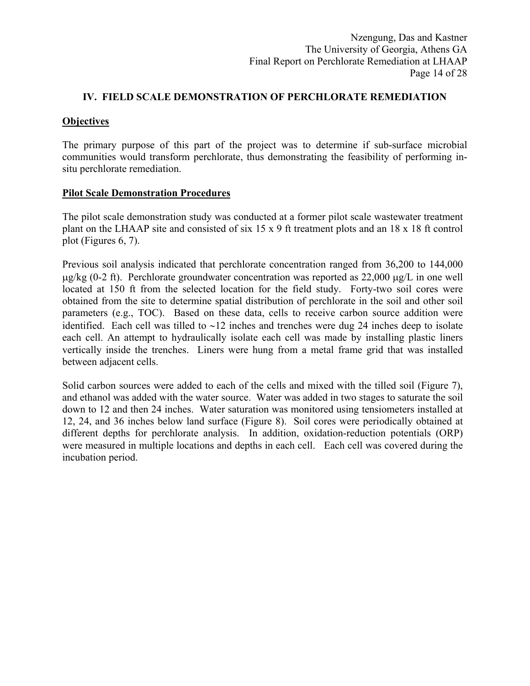# **IV. FIELD SCALE DEMONSTRATION OF PERCHLORATE REMEDIATION**

# **Objectives**

The primary purpose of this part of the project was to determine if sub-surface microbial communities would transform perchlorate, thus demonstrating the feasibility of performing insitu perchlorate remediation.

### **Pilot Scale Demonstration Procedures**

The pilot scale demonstration study was conducted at a former pilot scale wastewater treatment plant on the LHAAP site and consisted of six 15 x 9 ft treatment plots and an 18 x 18 ft control plot (Figures 6, 7).

Previous soil analysis indicated that perchlorate concentration ranged from 36,200 to 144,000  $\mu$ g/kg (0-2 ft). Perchlorate groundwater concentration was reported as 22,000  $\mu$ g/L in one well located at 150 ft from the selected location for the field study. Forty-two soil cores were obtained from the site to determine spatial distribution of perchlorate in the soil and other soil parameters (e.g., TOC). Based on these data, cells to receive carbon source addition were identified. Each cell was tilled to ∼12 inches and trenches were dug 24 inches deep to isolate each cell. An attempt to hydraulically isolate each cell was made by installing plastic liners vertically inside the trenches. Liners were hung from a metal frame grid that was installed between adjacent cells.

Solid carbon sources were added to each of the cells and mixed with the tilled soil (Figure 7), and ethanol was added with the water source. Water was added in two stages to saturate the soil down to 12 and then 24 inches. Water saturation was monitored using tensiometers installed at 12, 24, and 36 inches below land surface (Figure 8). Soil cores were periodically obtained at different depths for perchlorate analysis. In addition, oxidation-reduction potentials (ORP) were measured in multiple locations and depths in each cell. Each cell was covered during the incubation period.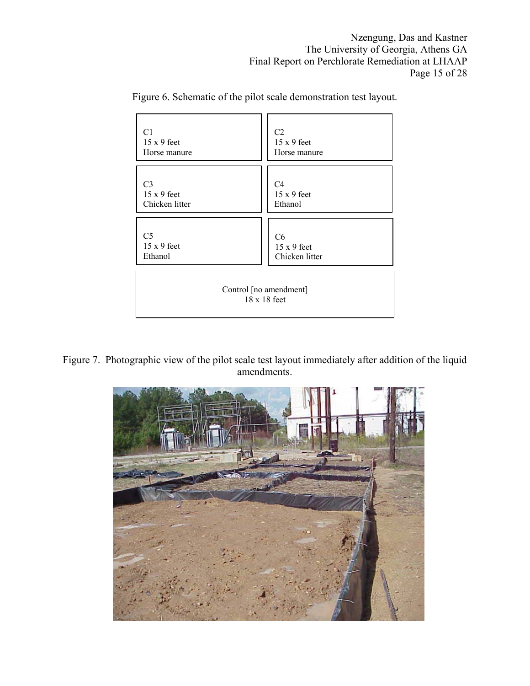| C1                                            | C <sub>2</sub>     |
|-----------------------------------------------|--------------------|
| $15 \times 9$ feet                            | $15x9$ feet        |
| Horse manure                                  | Horse manure       |
| C <sub>3</sub>                                | C <sub>4</sub>     |
| $15 \times 9$ feet                            | $15 x 9$ feet      |
| Chicken litter                                | Ethanol            |
| C <sub>5</sub>                                | C6                 |
| $15 \times 9$ feet                            | $15 \times 9$ feet |
| Ethanol                                       | Chicken litter     |
| Control [no amendment]<br>$18 \times 18$ feet |                    |

Figure 6. Schematic of the pilot scale demonstration test layout.

Figure 7. Photographic view of the pilot scale test layout immediately after addition of the liquid amendments.

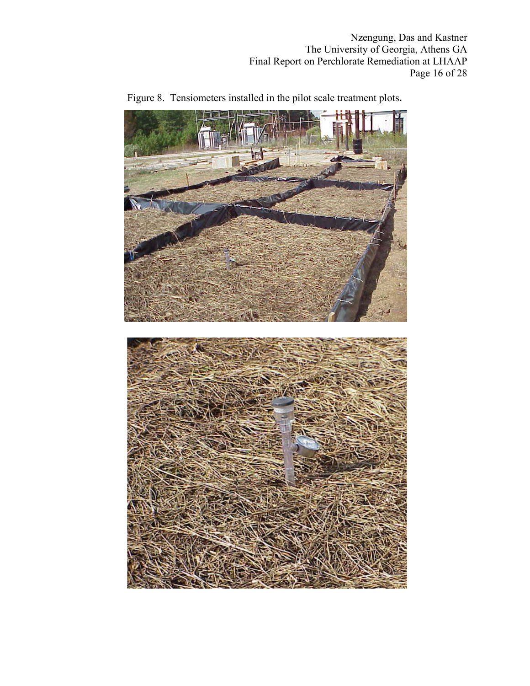Nzengung, Das and Kastner The University of Georgia, Athens GA Final Report on Perchlorate Remediation at LHAAP Page 16 of 28



Figure 8. Tensiometers installed in the pilot scale treatment plots.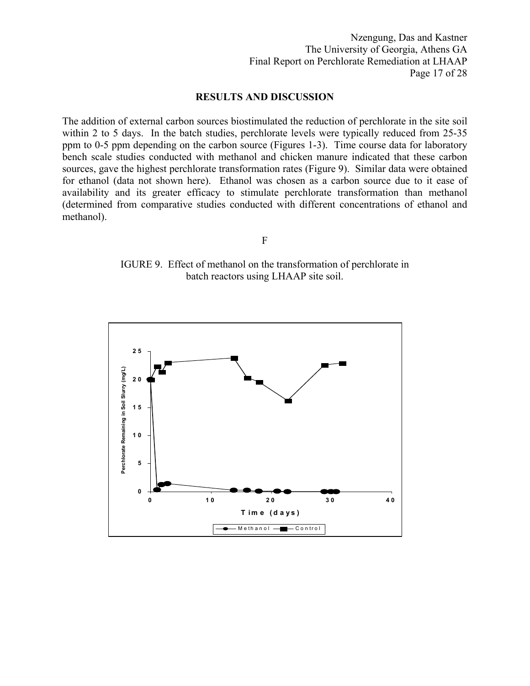Nzengung, Das and Kastner The University of Georgia, Athens GA Final Report on Perchlorate Remediation at LHAAP Page 17 of 28

# **RESULTS AND DISCUSSION**

The addition of external carbon sources biostimulated the reduction of perchlorate in the site soil within 2 to 5 days. In the batch studies, perchlorate levels were typically reduced from 25-35 ppm to 0-5 ppm depending on the carbon source (Figures 1-3). Time course data for laboratory bench scale studies conducted with methanol and chicken manure indicated that these carbon sources, gave the highest perchlorate transformation rates (Figure 9). Similar data were obtained for ethanol (data not shown here). Ethanol was chosen as a carbon source due to it ease of availability and its greater efficacy to stimulate perchlorate transformation than methanol (determined from comparative studies conducted with different concentrations of ethanol and methanol).

F

IGURE 9. Effect of methanol on the transformation of perchlorate in batch reactors using LHAAP site soil.

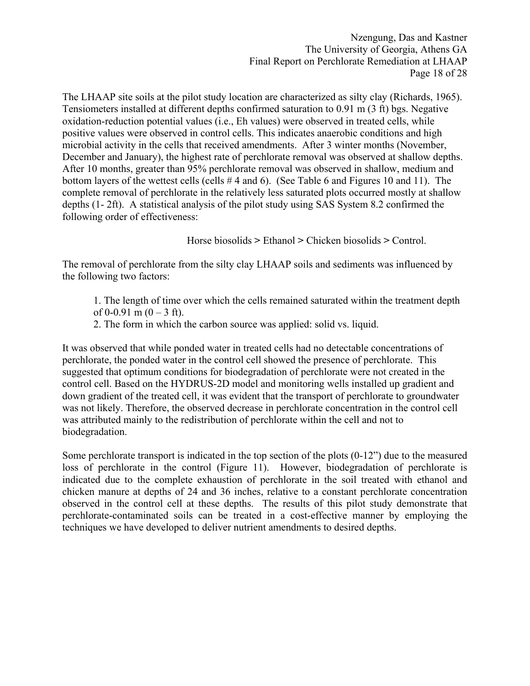Nzengung, Das and Kastner The University of Georgia, Athens GA Final Report on Perchlorate Remediation at LHAAP Page 18 of 28

The LHAAP site soils at the pilot study location are characterized as silty clay (Richards, 1965). Tensiometers installed at different depths confirmed saturation to 0.91 m (3 ft) bgs. Negative oxidation-reduction potential values (i.e., Eh values) were observed in treated cells, while positive values were observed in control cells. This indicates anaerobic conditions and high microbial activity in the cells that received amendments. After 3 winter months (November, December and January), the highest rate of perchlorate removal was observed at shallow depths. After 10 months, greater than 95% perchlorate removal was observed in shallow, medium and bottom layers of the wettest cells (cells # 4 and 6). (See Table 6 and Figures 10 and 11). The complete removal of perchlorate in the relatively less saturated plots occurred mostly at shallow depths (1- 2ft). A statistical analysis of the pilot study using SAS System 8.2 confirmed the following order of effectiveness:

Horse biosolids **>** Ethanol **>** Chicken biosolids **>** Control.

The removal of perchlorate from the silty clay LHAAP soils and sediments was influenced by the following two factors:

- 1. The length of time over which the cells remained saturated within the treatment depth of 0-0.91 m  $(0-3$  ft).
- 2. The form in which the carbon source was applied: solid vs. liquid.

It was observed that while ponded water in treated cells had no detectable concentrations of perchlorate, the ponded water in the control cell showed the presence of perchlorate. This suggested that optimum conditions for biodegradation of perchlorate were not created in the control cell. Based on the HYDRUS-2D model and monitoring wells installed up gradient and down gradient of the treated cell, it was evident that the transport of perchlorate to groundwater was not likely. Therefore, the observed decrease in perchlorate concentration in the control cell was attributed mainly to the redistribution of perchlorate within the cell and not to biodegradation.

Some perchlorate transport is indicated in the top section of the plots (0-12") due to the measured loss of perchlorate in the control (Figure 11). However, biodegradation of perchlorate is indicated due to the complete exhaustion of perchlorate in the soil treated with ethanol and chicken manure at depths of 24 and 36 inches, relative to a constant perchlorate concentration observed in the control cell at these depths. The results of this pilot study demonstrate that perchlorate-contaminated soils can be treated in a cost-effective manner by employing the techniques we have developed to deliver nutrient amendments to desired depths.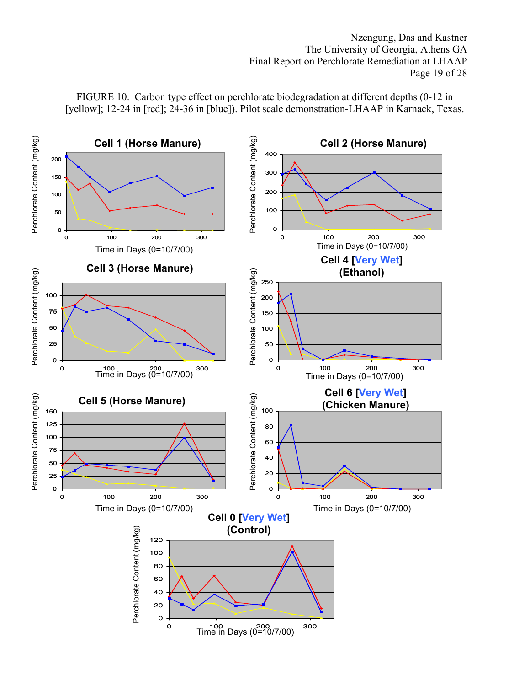Nzengung, Das and Kastner The University of Georgia, Athens GA Final Report on Perchlorate Remediation at LHAAP Page 19 of 28



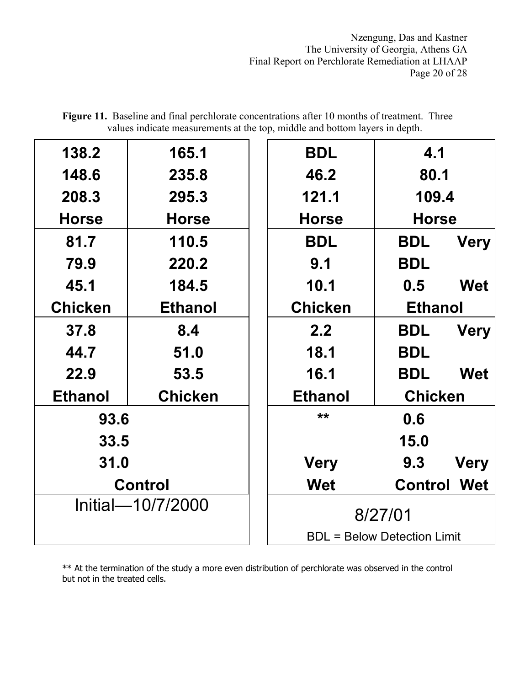Nzengung, Das and Kastner The University of Georgia, Athens GA Final Report on Perchlorate Remediation at LHAAP Page 20 of 28

| 138.2             | 165.1          |  | <b>BDL</b>                         | 4.1            |             |  |
|-------------------|----------------|--|------------------------------------|----------------|-------------|--|
| 148.6             | 235.8          |  | 46.2                               | 80.1           |             |  |
| 208.3             | 295.3          |  | 121.1                              | 109.4          |             |  |
| <b>Horse</b>      | <b>Horse</b>   |  | <b>Horse</b>                       | <b>Horse</b>   |             |  |
| 81.7              | 110.5          |  | <b>BDL</b>                         | <b>BDL</b>     | <b>Very</b> |  |
| 79.9              | 220.2          |  | 9.1                                | <b>BDL</b>     |             |  |
| 45.1              | 184.5          |  | 10.1                               | 0.5            | <b>Wet</b>  |  |
| <b>Chicken</b>    | <b>Ethanol</b> |  | <b>Chicken</b>                     | <b>Ethanol</b> |             |  |
| 37.8              | 8.4            |  | 2.2                                | <b>BDL</b>     | <b>Very</b> |  |
| 44.7              | 51.0           |  | 18.1                               | <b>BDL</b>     |             |  |
| 22.9              | 53.5           |  | 16.1                               | <b>BDL</b>     | <b>Wet</b>  |  |
| <b>Ethanol</b>    | <b>Chicken</b> |  | <b>Ethanol</b>                     | <b>Chicken</b> |             |  |
| 93.6              |                |  | $**$                               | 0.6            |             |  |
| 33.5              |                |  |                                    | 15.0           |             |  |
| 31.0              |                |  | <b>Very</b>                        | 9.3            | <b>Very</b> |  |
| <b>Control</b>    |                |  | <b>Wet</b>                         | <b>Control</b> | <b>Wet</b>  |  |
| Initial-10/7/2000 |                |  | 8/27/01                            |                |             |  |
|                   |                |  | <b>BDL = Below Detection Limit</b> |                |             |  |

Figure 11. Baseline and final perchlorate concentrations after 10 months of treatment. Three values indicate measurements at the top, middle and bottom layers in depth.

\*\* At the termination of the study a more even distribution of perchlorate was observed in the control but not in the treated cells.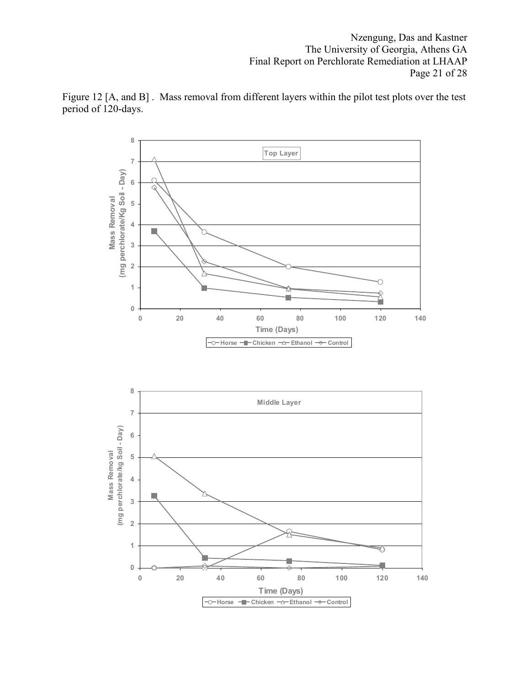Nzengung, Das and Kastner The University of Georgia, Athens GA Final Report on Perchlorate Remediation at LHAAP Page 21 of 28



Figure 12 [A, and B] . Mass removal from different layers within the pilot test plots over the test period of 120-days.

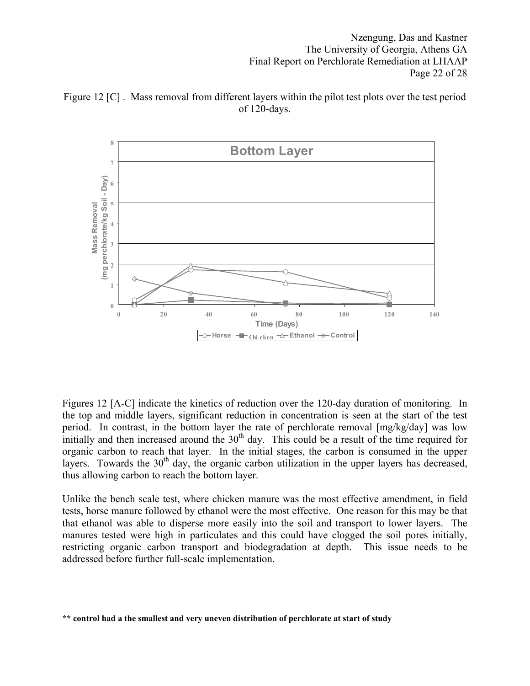Nzengung, Das and Kastner The University of Georgia, Athens GA Final Report on Perchlorate Remediation at LHAAP Page 22 of 28





Figures 12 [A-C] indicate the kinetics of reduction over the 120-day duration of monitoring. In the top and middle layers, significant reduction in concentration is seen at the start of the test period. In contrast, in the bottom layer the rate of perchlorate removal [mg/kg/day] was low initially and then increased around the  $30<sup>th</sup>$  day. This could be a result of the time required for organic carbon to reach that layer. In the initial stages, the carbon is consumed in the upper layers. Towards the  $30<sup>th</sup>$  day, the organic carbon utilization in the upper layers has decreased, thus allowing carbon to reach the bottom layer.

Unlike the bench scale test, where chicken manure was the most effective amendment, in field tests, horse manure followed by ethanol were the most effective. One reason for this may be that that ethanol was able to disperse more easily into the soil and transport to lower layers. The manures tested were high in particulates and this could have clogged the soil pores initially, restricting organic carbon transport and biodegradation at depth. This issue needs to be addressed before further full-scale implementation.

**<sup>\*\*</sup> control had a the smallest and very uneven distribution of perchlorate at start of study**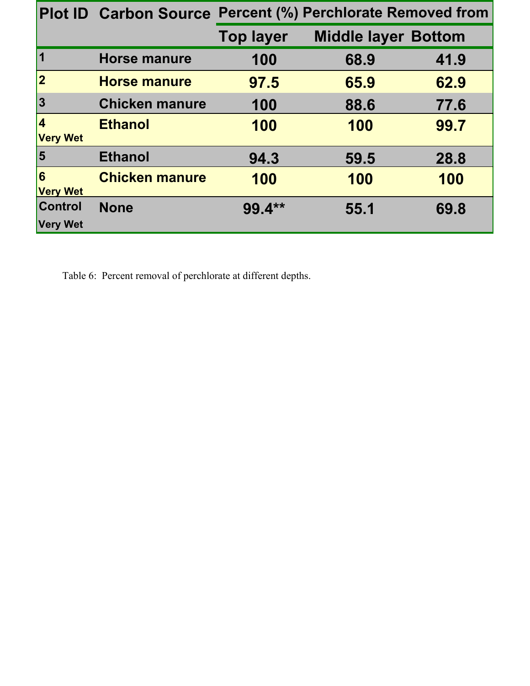|                                   |                       | Plot ID Carbon Source Percent (%) Perchlorate Removed from |                            |      |  |  |  |
|-----------------------------------|-----------------------|------------------------------------------------------------|----------------------------|------|--|--|--|
|                                   |                       | <b>Top layer</b>                                           | <b>Middle layer Bottom</b> |      |  |  |  |
| $\vert$ 1                         | <b>Horse manure</b>   | 100                                                        | 68.9                       | 41.9 |  |  |  |
| $\vert$ 2                         | <b>Horse manure</b>   | 97.5                                                       | 65.9                       | 62.9 |  |  |  |
| 3                                 | <b>Chicken manure</b> | 100                                                        | 88.6                       | 77.6 |  |  |  |
| 4<br><b>Very Wet</b>              | <b>Ethanol</b>        | 100                                                        | 100                        | 99.7 |  |  |  |
| $\vert 5 \vert$                   | <b>Ethanol</b>        | 94.3                                                       | 59.5                       | 28.8 |  |  |  |
| $\overline{6}$<br><b>Very Wet</b> | <b>Chicken manure</b> | 100                                                        | 100                        | 100  |  |  |  |
| Control<br><b>Very Wet</b>        | <b>None</b>           | $99.4**$                                                   | 55.1                       | 69.8 |  |  |  |

Table 6: Percent removal of perchlorate at different depths.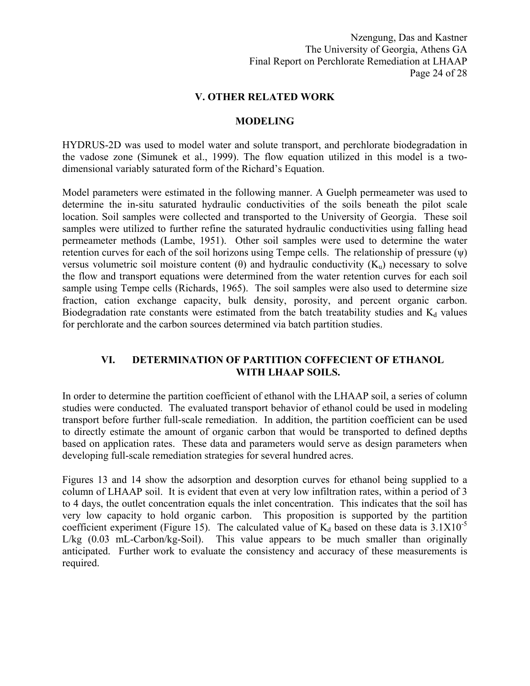Nzengung, Das and Kastner The University of Georgia, Athens GA Final Report on Perchlorate Remediation at LHAAP Page 24 of 28

### **V. OTHER RELATED WORK**

### **MODELING**

HYDRUS-2D was used to model water and solute transport, and perchlorate biodegradation in the vadose zone (Simunek et al., 1999). The flow equation utilized in this model is a twodimensional variably saturated form of the Richard's Equation.

Model parameters were estimated in the following manner. A Guelph permeameter was used to determine the in-situ saturated hydraulic conductivities of the soils beneath the pilot scale location. Soil samples were collected and transported to the University of Georgia. These soil samples were utilized to further refine the saturated hydraulic conductivities using falling head permeameter methods (Lambe, 1951). Other soil samples were used to determine the water retention curves for each of the soil horizons using Tempe cells. The relationship of pressure  $(\psi)$ versus volumetric soil moisture content (θ) and hydraulic conductivity  $(K<sub>u</sub>)$  necessary to solve the flow and transport equations were determined from the water retention curves for each soil sample using Tempe cells (Richards, 1965). The soil samples were also used to determine size fraction, cation exchange capacity, bulk density, porosity, and percent organic carbon. Biodegradation rate constants were estimated from the batch treatability studies and  $K_d$  values for perchlorate and the carbon sources determined via batch partition studies.

# **VI. DETERMINATION OF PARTITION COFFECIENT OF ETHANOL WITH LHAAP SOILS.**

In order to determine the partition coefficient of ethanol with the LHAAP soil, a series of column studies were conducted. The evaluated transport behavior of ethanol could be used in modeling transport before further full-scale remediation. In addition, the partition coefficient can be used to directly estimate the amount of organic carbon that would be transported to defined depths based on application rates. These data and parameters would serve as design parameters when developing full-scale remediation strategies for several hundred acres.

Figures 13 and 14 show the adsorption and desorption curves for ethanol being supplied to a column of LHAAP soil. It is evident that even at very low infiltration rates, within a period of 3 to 4 days, the outlet concentration equals the inlet concentration. This indicates that the soil has very low capacity to hold organic carbon. This proposition is supported by the partition coefficient experiment (Figure 15). The calculated value of  $K_d$  based on these data is 3.1X10<sup>-5</sup> L/kg (0.03 mL-Carbon/kg-Soil). This value appears to be much smaller than originally anticipated. Further work to evaluate the consistency and accuracy of these measurements is required.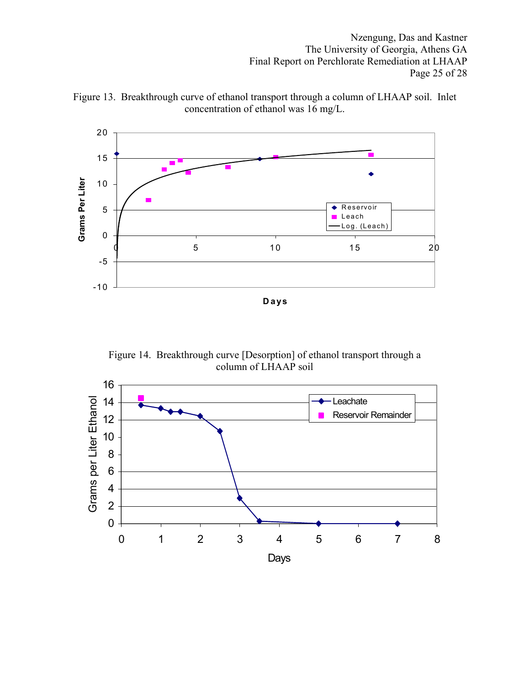Nzengung, Das and Kastner The University of Georgia, Athens GA Final Report on Perchlorate Remediation at LHAAP Page 25 of 28



Figure 13. Breakthrough curve of ethanol transport through a column of LHAAP soil. Inlet concentration of ethanol was 16 mg/L.

Figure 14. Breakthrough curve [Desorption] of ethanol transport through a column of LHAAP soil

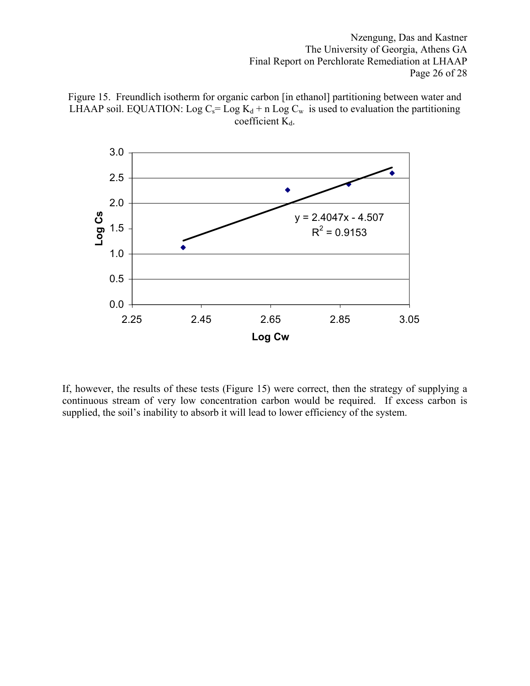Nzengung, Das and Kastner The University of Georgia, Athens GA Final Report on Perchlorate Remediation at LHAAP Page 26 of 28





If, however, the results of these tests (Figure 15) were correct, then the strategy of supplying a continuous stream of very low concentration carbon would be required. If excess carbon is supplied, the soil's inability to absorb it will lead to lower efficiency of the system.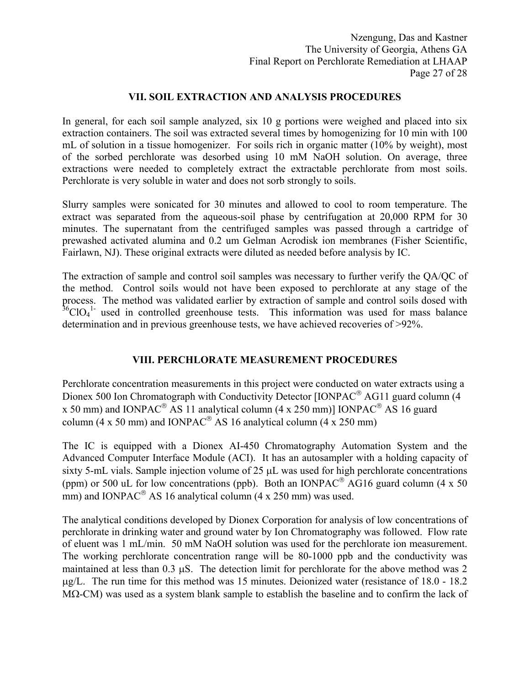# **VII. SOIL EXTRACTION AND ANALYSIS PROCEDURES**

In general, for each soil sample analyzed, six 10 g portions were weighed and placed into six extraction containers. The soil was extracted several times by homogenizing for 10 min with 100 mL of solution in a tissue homogenizer. For soils rich in organic matter (10% by weight), most of the sorbed perchlorate was desorbed using 10 mM NaOH solution. On average, three extractions were needed to completely extract the extractable perchlorate from most soils. Perchlorate is very soluble in water and does not sorb strongly to soils.

Slurry samples were sonicated for 30 minutes and allowed to cool to room temperature. The extract was separated from the aqueous-soil phase by centrifugation at 20,000 RPM for 30 minutes. The supernatant from the centrifuged samples was passed through a cartridge of prewashed activated alumina and 0.2 um Gelman Acrodisk ion membranes (Fisher Scientific, Fairlawn, NJ). These original extracts were diluted as needed before analysis by IC.

The extraction of sample and control soil samples was necessary to further verify the QA/QC of the method. Control soils would not have been exposed to perchlorate at any stage of the process. The method was validated earlier by extraction of sample and control soils dosed with  $36^{\circ}$ ClO<sub>4</sub><sup>1</sup>- used in controlled greenhouse tests. This information was used for mass balance determination and in previous greenhouse tests, we have achieved recoveries of >92%.

# **VIII. PERCHLORATE MEASUREMENT PROCEDURES**

Perchlorate concentration measurements in this project were conducted on water extracts using a Dionex 500 Ion Chromatograph with Conductivity Detector  $[IONPAC^{\circledast} AG11]$  guard column (4) x 50 mm) and IONPAC<sup>®</sup> AS 11 analytical column (4 x 250 mm)] IONPAC<sup>®</sup> AS 16 guard column (4 x 50 mm) and IONPAC<sup>®</sup> AS 16 analytical column (4 x 250 mm)

The IC is equipped with a Dionex AI-450 Chromatography Automation System and the Advanced Computer Interface Module (ACI). It has an autosampler with a holding capacity of sixty 5-mL vials. Sample injection volume of 25  $\mu$ L was used for high perchlorate concentrations (ppm) or 500 uL for low concentrations (ppb). Both an IONPAC<sup>®</sup> AG16 guard column (4 x 50) mm) and IONPAC<sup>®</sup> AS 16 analytical column (4 x 250 mm) was used.

The analytical conditions developed by Dionex Corporation for analysis of low concentrations of perchlorate in drinking water and ground water by Ion Chromatography was followed. Flow rate of eluent was 1 mL/min. 50 mM NaOH solution was used for the perchlorate ion measurement. The working perchlorate concentration range will be 80-1000 ppb and the conductivity was maintained at less than  $0.3 \mu S$ . The detection limit for perchlorate for the above method was 2 µg/L. The run time for this method was 15 minutes. Deionized water (resistance of 18.0 - 18.2 MΩ-CM) was used as a system blank sample to establish the baseline and to confirm the lack of